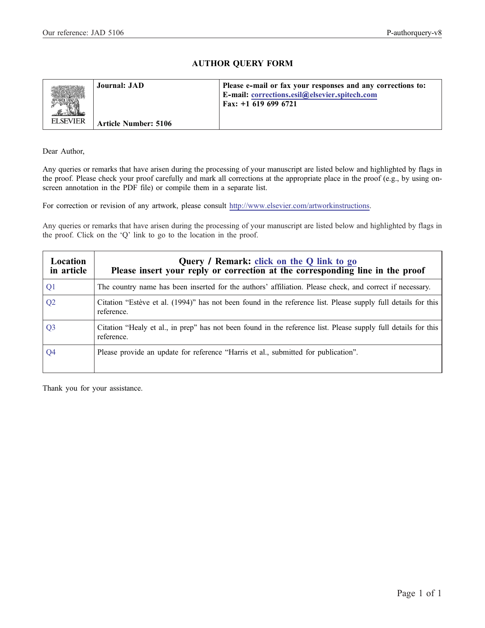# AUTHOR QUERY FORM

<span id="page-0-0"></span>

| <b>ELSEVIER</b> | Journal: JAD<br><b>Article Number: 5106</b> | Please e-mail or fax your responses and any corrections to:<br>E-mail: corrections.esil@elsevier.spitech.com<br>Fax: $+1$ 619 699 6721 |
|-----------------|---------------------------------------------|----------------------------------------------------------------------------------------------------------------------------------------|
|                 |                                             |                                                                                                                                        |

Dear Author,

Any queries or remarks that have arisen during the processing of your manuscript are listed below and highlighted by flags in the proof. Please check your proof carefully and mark all corrections at the appropriate place in the proof (e.g., by using onscreen annotation in the PDF file) or compile them in a separate list.

For correction or revision of any artwork, please consult [http://www.elsevier.com/artworkinstructions.](http://www.elsevier.com/artworkinstructions)

Any queries or remarks that have arisen during the processing of your manuscript are listed below and highlighted by flags in the proof. Click on the 'Q' link to go to the location in the proof.

| Location<br>in article | Query / Remark: click on the Q link to go<br>Please insert your reply or correction at the corresponding line in the proof   |
|------------------------|------------------------------------------------------------------------------------------------------------------------------|
| Q1                     | The country name has been inserted for the authors' affiliation. Please check, and correct if necessary.                     |
| Q <sub>2</sub>         | Citation "Estève et al. (1994)" has not been found in the reference list. Please supply full details for this<br>reference.  |
| Q <sub>3</sub>         | Citation "Healy et al., in prep" has not been found in the reference list. Please supply full details for this<br>reference. |
| Q4                     | Please provide an update for reference "Harris et al., submitted for publication".                                           |

Thank you for your assistance.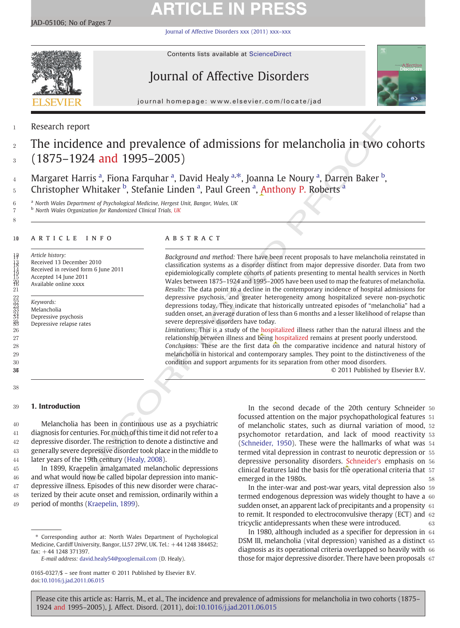# **ARTICLE IN PRESS**

[Journal of Affective Disorders xxx \(2011\) xxx](http://dx.doi.org/10.1016/j.jad.2011.06.015)–xxx



Contents lists available at [ScienceDirect](http://www.sciencedirect.com/science/journal/01650327)

# Journal of Affective Disorders



journal homepage: www.elsevier.com/locate/jad

# 1 Research report

# <sup>2</sup> The incidence and prevalence of admissions for melancholia in two cohorts  $3 (1875 - 1924$  and 1995–2005)

4 Margaret Harris <sup>a</sup>, Fiona Farquhar <sup>a</sup>, David Healy <sup>a, $\ast$ </sup>, Joanna Le Noury <sup>a</sup>, Darren Baker <sup>b</sup>, 5 Christopher Whitaker <sup>b</sup>, Stefanie Linden <sup>a</sup>, Paul Green <sup>a</sup>, Anthony P. Roberts <sup>a</sup>

6 <sup>a</sup> North Wales Department of Psychological Medicine, Hergest Unit, Bangor, Wales, UK

<sup>b</sup> North Wales Organization for Randomized Clinical Trials, UK

### 10 ARTICLE INFO ABSTRACT

8

367 38

Article history: 13 Received 13 December 2010<br>14<br>15 Received in revised form 6 Ju<br>21 Available online xxxx<br>21 Received in revised form 6 June 2011 15 Accepted 14 June 2011 Available online xxxx

> Keywords: **Melancholia** Depressive psychosis Depressive relapse rates

ort<br>
in the second decade of the 2016 control of the second decade of the 2016<br>
Tarriet properties are a properties of the second decade of the second<br>
in the second decade of the second decade of the 2016 control of the<br> Background and method: There have been recent proposals to have melancholia reinstated in 18 classification systems as a disorder distinct from major depressive disorder. Data from two 19 epidemiologically complete cohorts of patients presenting to mental health services in North 20 Wales between 1875–1924 and 1995–2005 have been used to map the features of melancholia. Examples and the data point to a decline in the contemporary incidence of hospital admissions for<br>
Results: The data point to a decline in the contemporary incidence of hospital admissions for<br>
Results:<br>
Results: The data depressive psychosis, and greater heterogeneity among hospitalized severe non-psychotic 23 depressions today. They indicate that historically untreated episodes of "melancholia" had a sudden onset, an average duration of less than 6 months and a lesser likelihood of relapse than severe depressive disorders have today.

 Limitations: This is a study of the hospitalized illness rather than the natural illness and the relationship between illness and being hospitalized remains at present poorly understood. Conclusions: These are the first data on the comparative incidence and natural history of melancholia in historical and contemporary samples. They point to the distinctiveness of the condition and support arguments for its separation from other mood disorders.

 $© 2011$  Published by Elsevier B.V.

## 39 1. Introduction

 Melancholia has been in continuous use as a psychiatric diagnosis for centuries. For much of this time it did not refer to a depressive disorder. The restriction to denote a distinctive and generally severe depressive disorder took place in the middle to later years of the 19th century (Healy, 2008).

 In 1899, Kraepelin amalgamated melancholic depressions and what would now be called bipolar depression into manic- depressive illness. Episodes of this new disorder were charac- terized by their acute onset and remission, ordinarily within a period of months ([Kraepelin, 1899\)](#page-7-0).

In the second decade of the 20th century Schneider 50 focussed attention on the major psychopathological features 51 of melancholic states, such as diurnal variation of mood, 52 psychomotor retardation, and lack of mood reactivity 53 (Schneider, 1950). These were the hallmarks of what was 54 termed vital depression in contrast to neurotic depression or 55 depressive personality disorders. Schneider's emphasis on 56 clinical features laid the basis for the operational criteria that 57 emerged in the 1980s.

In the inter-war and post-war years, vital depression also 59 termed endogenous depression was widely thought to have a 60 sudden onset, an apparent lack of precipitants and a propensity 61 to remit. It responded to electroconvulsive therapy (ECT) and 62 tricyclic antidepressants when these were introduced.  $63$ 

In 1980, although included as a specifier for depression in 64 DSM III, melancholia (vital depression) vanished as a distinct 65 diagnosis as its operational criteria overlapped so heavily with 66 those for major depressive disorder. There have been proposals 67

<sup>⁎</sup> Corresponding author at: North Wales Department of Psychological Medicine, Cardiff University, Bangor, LL57 2PW, UK. Tel.: +44 1248 384452; fax: +44 1248 371397.

E-mail address: [david.healy54@googlemail.com](mailto:david.healy54@googlemail.com) (D. Healy).

<sup>0165-0327/\$</sup> – see front matter © 2011 Published by Elsevier B.V. doi[:10.1016/j.jad.2011.06.015](http://dx.doi.org/10.1016/j.jad.2011.06.015)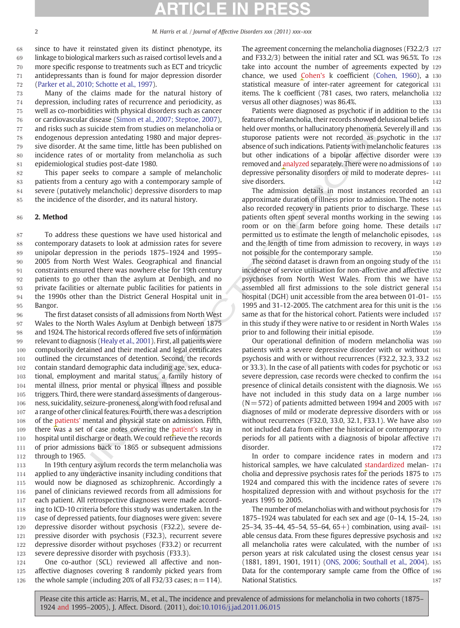# ICI E IN

 since to have it reinstated given its distinct phenotype, its linkage to biological markers such as raised cortisol levels and a more specific response to treatments such as ECT and tricyclic antidepressants than is found for major depression disorder ([Parker et al., 2010; Schotte et al., 1997\)](#page-7-0).

 Many of the claims made for the natural history of depression, including rates of recurrence and periodicity, as well as co-morbidities with physical disorders such as cancer or cardiovascular disease (Simon et al., 2007; Steptoe, 2007), and risks such as suicide stem from studies on melancholia or endogenous depression antedating 1980 and major depres- sive disorder. At the same time, little has been published on incidence rates of or mortality from melancholia as such epidemiological studies post-date 1980.

 This paper seeks to compare a sample of melancholic patients from a century ago with a contemporary sample of severe (putatively melancholic) depressive disorders to map the incidence of the disorder, and its natural history.

## 86 2. Method

 To address these questions we have used historical and contemporary datasets to look at admission rates for severe unipolar depression in the periods 1875–1924 and 1995– 2005 from North West Wales. Geographical and financial constraints ensured there was nowhere else for 19th century patients to go other than the asylum at Denbigh, and no private facilities or alternate public facilities for patients in the 1990s other than the District General Hospital unit in 95 Bangor.

and takes (Slimon et al., 2007; Steptoe, 2007), features of melandoniolat, their records showed delt<br>and assuited seem from studies on melandohia or<br>assuited seem from studies on melandohia or<br>sausical case and major depre The first dataset consists of all admissions from North West Wales to the North Wales Asylum at Denbigh between 1875 and 1924. The historical records offered five sets of information relevant to diagnosis (Healy et al., 2001). First, all patients were compulsorily detained and their medical and legal certificates outlined the circumstances of detention. Second, the records contain standard demographic data including age, sex, educa- tional, employment and marital status, a family history of mental illness, prior mental or physical illness and possible triggers. Third, there were standard assessments of dangerous- ness, suicidality, seizure-proneness, along with food refusal and a range of other clinical features. Fourth, there was a description of the patients' mental and physical state on admission. Fifth, 109 there was a set of case notes covering the patient's stay in 110 hospital until discharge or death. We could retrieve the records of prior admissions back to 1865 or subsequent admissions through to 1965.

113 In 19th century asylum records the term melancholia was applied to any underactive insanity including conditions that would now be diagnosed as schizophrenic. Accordingly a panel of clinicians reviewed records from all admissions for each patient. All retrospective diagnoses were made accord-118 ing to ICD-10 criteria before this study was undertaken. In the case of depressed patients, four diagnoses were given: severe depressive disorder without psychosis (F32.2), severe de- pressive disorder with psychosis (F32.3), recurrent severe depressive disorder without psychoses (F33.2) or recurrent severe depressive disorder with psychosis (F33.3).

124 One co-author (SCL) reviewed all affective and non-125 affective diagnoses covering 8 randomly picked years from 126 the whole sample (including 20% of all F32/33 cases;  $n=114$ ).

The agreement concerning the melancholia diagnoses (F32.2/3 127 and F33.2/3) between the initial rater and SCL was 96.5%. To 128 take into account the number of agreements expected by 129 chance, we used Cohen's k coefficient [\(Cohen, 1960](#page-7-0)), a 130 statistical measure of inter-rater agreement for categorical 131 items. The k coefficient (781 cases, two raters, melancholia 132 versus all other diagnoses) was 86.4%. The manufacturer of the 133

Patients were diagnosed as psychotic if in addition to the 134 features of melancholia, their records showed delusional beliefs 135 held over months, or hallucinatory phenomena. Severely ill and 136 stuporose patients were not recorded as psychotic in the 137 absence of such indications. Patients with melancholic features 138 but other indications of a bipolar affective disorder were 139 removed and analyzed separately. There were no admissions of 140 depressive personality disorders or mild to moderate depres- 141 sive disorders. 142

The admission details in most instances recorded an 143 approximate duration of illness prior to admission. The notes 144 also recorded recovery in patients prior to discharge. These 145 patients often spent several months working in the sewing 146 room or on the farm before going home. These details 147 permitted us to estimate the length of melancholic episodes, 148 and the length of time from admission to recovery, in ways 149 not possible for the contemporary sample. 150

The second dataset is drawn from an ongoing study of the 151 incidence of service utilisation for non-affective and affective 152 psychoses from North West Wales. From this we have 153 assembled all first admissions to the sole district general 154 hospital (DGH) unit accessible from the area between 01-01- 155 1995 and 31-12-2005. The catchment area for this unit is the 156 same as that for the historical cohort. Patients were included 157 in this study if they were native to or resident in North Wales 158 prior to and following their initial episode. 159

Our operational definition of modern melancholia was 160 patients with a severe depressive disorder with or without 161 psychosis and with or without recurrences (F32.2, 32.3, 33.2 162 or 33.3). In the case of all patients with codes for psychotic or 163 severe depression, case records were checked to confirm the 164 presence of clinical details consistent with the diagnosis. We 165 have not included in this study data on a large number 166  $(N = 572)$  of patients admitted between 1994 and 2005 with 167 diagnoses of mild or moderate depressive disorders with or 168 without recurrences (F32.0, 33.0, 32.1, F33.1). We have also 169 not included data from either the historical or contemporary 170 periods for all patients with a diagnosis of bipolar affective 171 disorder. 172

In order to compare incidence rates in modern and 173 historical samples, we have calculated standardized melan- 174 cholia and depressive psychosis rates for the periods 1875 to 175 1924 and compared this with the incidence rates of severe 176 hospitalized depression with and without psychosis for the 177 vears 1995 to 2005. 178

The number of melancholias with and without psychosis for 179 1875–1924 was tabulated for each sex and age (0–14, 15–24, 180 25–34, 35–44, 45–54, 55–64, 65+) combination, using avail-  $181$ able census data. From these figures depressive psychosis and 182 all melancholia rates were calculated, with the number of 183 person years at risk calculated using the closest census year 184 (1881, 1891, 1901, 1911) ([ONS, 2006; Southall et al., 2004](#page-7-0)). 185 Data for the contemporary sample came from the Office of 186 National Statistics. 187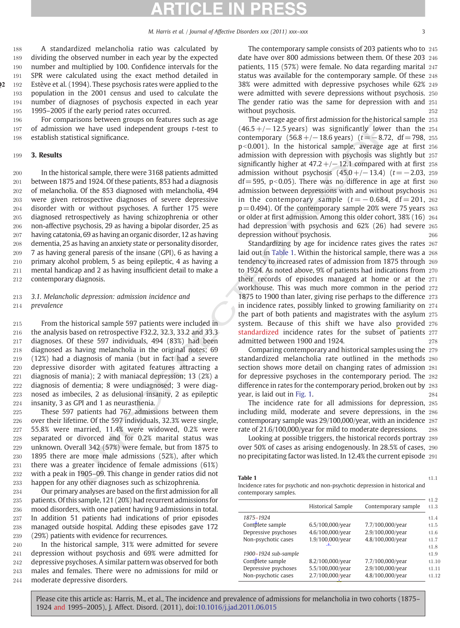<span id="page-3-0"></span> A standardized melancholia ratio was calculated by dividing the observed number in each year by the expected number and multiplied by 100. Confidence intervals for the SPR were calculated using the exact method detailed in 22 192 Estève et al. (1994). These psychosis rates were applied to the population in the 2001 census and used to calculate the number of diagnoses of psychosis expected in each year 1995–2005 if the early period rates occurred.

196 For comparisons between groups on features such as age 197 of admission we have used independent groups t-test to 198 establish statistical significance.

### 199 3. Results

 In the historical sample, there were 3168 patients admitted between 1875 and 1924. Of these patients, 853 had a diagnosis of melancholia. Of the 853 diagnosed with melancholia, 494 were given retrospective diagnoses of severe depressive disorder with or without psychoses. A further 175 were diagnosed retrospectively as having schizophrenia or other non-affective psychosis, 29 as having a bipolar disorder, 25 as having catatonia, 69 as having an organic disorder, 12 as having dementia, 25 as having an anxiety state or personality disorder, 7 as having general paresis of the insane (GPI), 6 as having a primary alcohol problem, 5 as being epileptic, 4 as having a mental handicap and 2 as having insufficient detail to make a contemporary diagnosis.

213 3.1. Melancholic depression: admission incidence and 214 prevalence

 From the historical sample 597 patients were included in the analysis based on retrospective F32.2, 32.3, 33.2 and 33.3 diagnoses. Of these 597 individuals, 494 (83%) had been diagnosed as having melancholia in the original notes; 69 (12%) had a diagnosis of mania (but in fact had a severe depressive disorder with agitated features attracting a diagnosis of mania); 2 with maniacal depression; 13 (2%) a diagnosis of dementia; 8 were undiagnosed; 3 were diag- nosed as imbeciles, 2 as delusional insanity, 2 as epileptic insanity, 3 as GPI and 1 as neurasthenia.

 These 597 patients had 767 admissions between them over their lifetime. Of the 597 individuals, 32.3% were single, 55.8% were married, 11.4% were widowed, 0.2% were separated or divorced and for 0.2% marital status was unknown. Overall 342 (57%) were female, but from 1875 to 1895 there are more male admissions (52%), after which there was a greater incidence of female admissions (61%) with a peak in 1905–09. This change in gender ratios did not happen for any other diagnoses such as schizophrenia.

 Our primary analyses are based on the first admission for all patients. Of this sample, 121 (20%) had recurrent admissions for mood disorders, with one patient having 9 admissions in total. In addition 51 patients had indications of prior episodes managed outside hospital. Adding these episodes gave 172 (29%) patients with evidence for recurrences.

 In the historical sample, 31% were admitted for severe depression without psychosis and 69% were admitted for depressive psychoses. A similar pattern was observed for both males and females. There were no admissions for mild or moderate depressive disorders.

The contemporary sample consists of 203 patients who to 245 date have over 800 admissions between them. Of these 203 246 patients, 115 (57%) were female. No data regarding marital 247 status was available for the contemporary sample. Of these 248 38% were admitted with depressive psychoses while 62% 249 were admitted with severe depressions without psychosis. 250 The gender ratio was the same for depression with and 251 without psychosis. 252

something the neutrinos to the average of the state of the state of the state of the state of the state of the state of the state of the state of the state of the state of the state of the state of the state of the state The average age of first admission for the historical sample 253  $(46.5+/-12.5$  years) was significantly lower than the 254 contemporary  $(56.8+/-18.6 \text{ years})$   $(t=-8.72, df=798, 255)$  $p<0.001$ ). In the historical sample, average age at first  $256$ admission with depression with psychosis was slightly but 257 significantly higher at  $47.2+/-12.1$  compared with at first 258 admission without psychosis  $(45.0+/-13.4)$   $(t=-2.03, 259)$  $df = 595$ , p<0.05). There was no difference in age at first 260 admission between depressions with and without psychosis 261 in the contemporary sample  $(t = -0.684, df = 201, 262)$  $p = 0.494$ ). Of the contemporary sample 20% were 75 years 263 or older at first admission. Among this older cohort, 38% (16) 264 had depression with psychosis and 62% (26) had severe 265 depression without psychosis. 266

Standardizing by age for incidence rates gives the rates 267 laid out in Table 1. Within the historical sample, there was a 268 tendency to increased rates of admission from 1875 through 269 to 1924. As noted above, 9% of patients had indications from 270 their records of episodes managed at home or at the 271 workhouse. This was much more common in the period 272 1875 to 1900 than later, giving rise perhaps to the difference 273 in incidence rates, possibly linked to growing familiarity on 274 the part of both patients and magistrates with the asylum 275 system. Because of this shift we have also provided 276 standardized incidence rates for the subset of patients 277 admitted between 1900 and 1924. 278

Comparing contemporary and historical samples using the 279 standardized melancholia rate outlined in the methods 280 section shows more detail on changing rates of admission 281 for depressive psychoses in the contemporary period. The 282 difference in rates for the contemporary period, broken out by 283 year, is laid out in Fig. 1. 284

The incidence rate for all admissions for depression, 285 including mild, moderate and severe depressions, in the 286 contemporary sample was 29/100,000/year, with an incidence 287 rate of 21.6/100,000/year for mild to moderate depressions. 288

Looking at possible triggers, the historical records portray 289 over 50% of cases as arising endogenously. In 28.5% of cases, 290 no precipitating factor was listed. In 12.4% the current episode 291

#### **Table 1** t1.1

Incidence rates for psychotic and non-psychotic depression in historical and contemporary samples.

|                      | Historical Sample | Contemporary sample |
|----------------------|-------------------|---------------------|
| 1875-1924            |                   |                     |
| Complete sample      | 6.5/100,000/year  | 7.7/100,000/year    |
| Depressive psychoses | 4.6/100,000/year  | 2.9/100,000/year    |
| Non-psychotic cases  | 1.9/100,000/year  | 4.8/100,000/year    |
|                      |                   |                     |
| 1900-1924 sub-sample |                   |                     |
| Complete sample      | 8.2/100,000/year  | 7.7/100,000/year    |
| Depressive psychoses | 5.5/100,000/year  | 2.9/100,000/year    |
| Non-psychotic cases  | 2.7/100,000/year  | 4.8/100,000/year    |
|                      |                   |                     |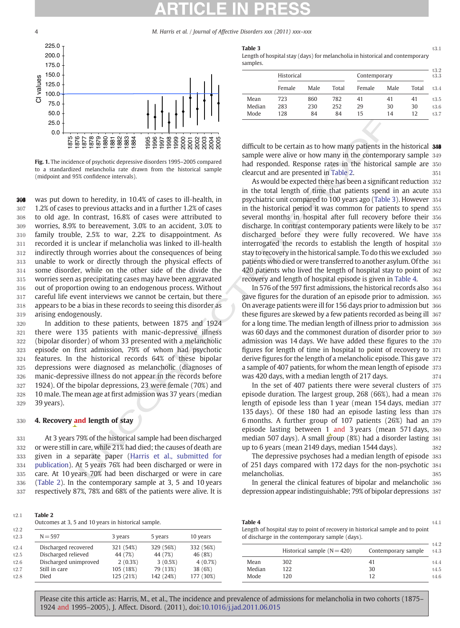<span id="page-4-0"></span>4 M. Harris et al. / Journal of Affective Disorders xxx (2011) xxx–xxx



Fig. 1. The incidence of psychotic depressive disorders 1995–2005 compared to a standardized melancholia rate drawn from the historical sample (midpoint and 95% confidence intervals).

**EXPRESS 26 S EXPRESS 26 EXPRESS 26 EXPRESS 26 EXPRESS 26 EXPRESS 26 EXPRESS 26 EXPRESS 26 EXPRESS 26 EXPRESS 26 EXPRESS 26 EXPRESS 26 EXPRESS 26 EXPRESS 26 EXPRESS 26 EXPRESS 26 EXPRESS** 308 was put down to heredity, in 10.4% of cases to ill-health, in 1.2% of cases to previous attacks and in a further 1.2% of cases to old age. In contrast, 16.8% of cases were attributed to worries, 8.9% to bereavement, 3.0% to an accident, 3.0% to family trouble, 2.5% to war, 2.2% to disappointment. As recorded it is unclear if melancholia was linked to ill-health indirectly through worries about the consequences of being unable to work or directly through the physical effects of some disorder, while on the other side of the divide the worries seen as precipitating cases may have been aggravated out of proportion owing to an endogenous process. Without careful life event interviews we cannot be certain, but there appears to be a bias in these records to seeing this disorder as arising endogenously.

 In addition to these patients, between 1875 and 1924 there were 135 patients with manic-depressive illness (bipolar disorder) of whom 33 presented with a melancholic episode on first admission, 79% of whom had psychotic features. In the historical records 64% of these bipolar depressions were diagnosed as melancholic (diagnoses of manic-depressive illness do not appear in the records before 1924). Of the bipolar depressions, 23 were female (70%) and 10 male. The mean age at first admission was 37 years (median 39 years).

### 330 4. Recovery and length of stay

 At 3 years 79% of the historical sample had been discharged or were still in care, while 21% had died; the causes of death are given in a separate paper (Harris et al., submitted for [publication](#page-7-0)). At 5 years 76% had been discharged or were in care. At 10 years 70% had been discharged or were in care (Table 2). In the contemporary sample at 3, 5 and 10 years respectively 87%, 78% and 68% of the patients were alive. It is

| Table 3 |   |  |  |                                   |  |  |  | $\cdots$<br>to.1 |
|---------|---|--|--|-----------------------------------|--|--|--|------------------|
|         | . |  |  | <b>Contract Contract Contract</b> |  |  |  |                  |

Length of hospital stay (days) for melancholia in historical and contemporary samples.

|        | Historical |      |       | Contemporary |      |       |  |
|--------|------------|------|-------|--------------|------|-------|--|
|        | Female     | Male | Total | Female       | Male | Total |  |
| Mean   | 723        | 860  | 782   | 41           | 41   | 41    |  |
| Median | 283        | 230  | 252   | 29           | 30   | 30    |  |
| Mode   | 128        | 84   | 84    | 15           | 14   | 12    |  |

difficult to be certain as to how many patients in the historical  $340$ sample were alive or how many in the contemporary sample 349 had responded. Response rates in the historical sample are 350 clearcut and are presented in Table 2.  $351$ 

As would be expected there has been a significant reduction 352 in the total length of time that patients spend in an acute 353 psychiatric unit compared to 100 years ago (Table 3). However 354 in the historical period it was common for patients to spend 355 several months in hospital after full recovery before their 356 discharge. In contrast contemporary patients were likely to be 357 discharged before they were fully recovered. We have 358 interrogated the records to establish the length of hospital 359 stay to recovery in the historical sample. To do this we excluded 360 patients who died or were transferred to another asylum. Of the 361 420 patients who lived the length of hospital stay to point of 362 recovery and length of hospital episode is given in Table 4. 363

In 576 of the 597 first admissions, the historical records also 364 gave figures for the duration of an episode prior to admission. 365 On average patients were ill for 156 days prior to admission but 366 these figures are skewed by a few patients recorded as being ill 367 for a long time. The median length of illness prior to admission 368 was 60 days and the commonest duration of disorder prior to 369 admission was 14 days. We have added these figures to the 370 figures for length of time in hospital to point of recovery to 371 derive figures for the length of a melancholic episode. This gave 372 a sample of 407 patients, for whom the mean length of episode 373 was 420 days, with a median length of 217 days.  $374$ 

In the set of 407 patients there were several clusters of 375 episode duration. The largest group, 268 (66%), had a mean 376 length of episode less than 1 year (mean 154 days, median 377 135 days). Of these 180 had an episode lasting less than 378 6 months. A further group of 107 patients (26%) had an 379 episode lasting between 1 and 3 years (mean 571 days, 380 median 507 days). A small group (8%) had a disorder lasting 381 up to 6 years (mean 2149 days, median 1544 days). 382

The depressive psychoses had a median length of episode 383 of 251 days compared with 172 days for the non-psychotic 384 melancholias. 385

In general the clinical features of bipolar and melancholic 386 depression appear indistinguishable; 79% of bipolar depressions 387

| Table 2<br>Outcomes at 3, 5 and 10 years in historical sample. |            |            |            | Table 4 | Length of hospital stay to point of recovery in historical sample and to point |                     | t4.1         |
|----------------------------------------------------------------|------------|------------|------------|---------|--------------------------------------------------------------------------------|---------------------|--------------|
| $N = 597$                                                      | 3 years    | 5 years    | 10 years   |         | of discharge in the contemporary sample (days).                                |                     |              |
| Discharged recovered                                           | 321 (54%)  | 329 (56%)  | 332 (56%)  |         | Historical sample $(N = 420)$                                                  | Contemporary sample | t4.2<br>t4.3 |
| Discharged relieved                                            | 44 (7%)    | 44 (7%)    | 46 (8%)    |         |                                                                                |                     |              |
| Discharged unimproved                                          | $2(0.3\%)$ | $3(0.5\%)$ | $4(0.7\%)$ | Mean    | 302                                                                            | 41                  | t4.4         |
| Still in care                                                  | 105 (18%)  | 79 (13%)   | 38 (6%)    | Median  | 122                                                                            | 30                  | t4.5         |
| Died                                                           | 125 (21%)  | 142 (24%)  | 177 (30%)  | Mode    | 120                                                                            |                     | t4.6         |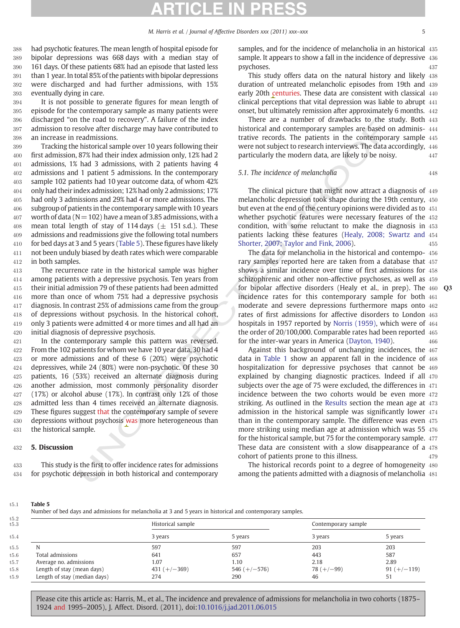<span id="page-5-0"></span> had psychotic features. The mean length of hospital episode for bipolar depressions was 668 days with a median stay of 161 days. Of these patients 68% had an episode that lasted less than 1 year. In total 85% of the patients with bipolar depressions were discharged and had further admissions, with 15% eventually dying in care.

 It is not possible to generate figures for mean length of episode for the contemporary sample as many patients were discharged "on the road to recovery". A failure of the index admission to resolve after discharge may have contributed to an increase in readmissions.

 Tracking the historical sample over 10 years following their first admission, 87% had their index admission only, 12% had 2 admissions, 1% had 3 admissions, with 2 patients having 4 admissions and 1 patient 5 admissions. In the contemporary sample 102 patients had 10 year outcome data, of whom 42% only had their index admission; 12% had only 2 admissions; 17% had only 3 admissions and 29% had 4 or more admissions. The subgroup of patients in the contemporary sample with 10 years worth of data ( $N=102$ ) have a mean of 3.85 admissions, with a 408 mean total length of stay of 114 days ( $\pm$  151 s.d.). These admissions and readmissions give the following total numbers 410 for bed days at 3 and 5 years (Table 5). These figures have likely not been unduly biased by death rates which were comparable in both samples.

 The recurrence rate in the historical sample was higher among patients with a depressive psychosis. Ten years from their initial admission 79 of these patients had been admitted more than once of whom 75% had a depressive psychosis diagnosis. In contrast 25% of admissions came from the group of depressions without psychosis. In the historical cohort, only 3 patients were admitted 4 or more times and all had an initial diagnosis of depressive psychosis.

 In the contemporary sample this pattern was reversed. From the 102 patients for whom we have 10 year data, 30 had 4 or more admissions and of these 6 (20%) were psychotic depressives, while 24 (80%) were non-psychotic. Of these 30 patients, 16 (53%) received an alternate diagnosis during another admission, most commonly personality disorder (17%) or alcohol abuse (17%). In contrast only 12% of those admitted less than 4 times received an alternate diagnosis. 429 These figures suggest that the contemporary sample of severe 430 depressions without psychosis was more heterogeneous than the historical sample.

### 432 5. Discussion

433 This study is the first to offer incidence rates for admissions 434 for psychotic depression in both historical and contemporary samples, and for the incidence of melancholia in an historical 435 sample. It appears to show a fall in the incidence of depressive 436 psychoses. And the set of the set of the set of the set of the set of the set of the set of the set of the set of the set of the set of the set of the set of the set of the set of the set of the set of the set of the set o

This study offers data on the natural history and likely 438 duration of untreated melancholic episodes from 19th and 439 early 20th centuries. These data are consistent with classical 440 clinical perceptions that vital depression was liable to abrupt 441 onset, but ultimately remission after approximately 6 months. 442

There are a number of drawbacks to the study. Both 443 historical and contemporary samples are based on adminis- 444 trative records. The patients in the contemporary sample 445 were not subject to research interviews. The data accordingly, 446 particularly the modern data, are likely to be noisy. 447

### 5.1. The incidence of melancholia 448

The clinical picture that might now attract a diagnosis of 449 melancholic depression took shape during the 19th century, 450 but even at the end of the century opinions were divided as to 451 whether psychotic features were necessary features of the 452 condition, with some reluctant to make the diagnosis in 453 patients lacking these features ([Healy, 2008; Swartz and](#page-7-0) 454 Shorter, 2007; Taylor and Fink, 2006). 455

The data for melancholia in the historical and contempo- 456 rary samples reported here are taken from a database that 457 shows a similar incidence over time of first admissions for 458 schizophrenic and other non-affective psychoses, as well as 459 for bipolar affective disorders (Healy et al., in prep). The  $460$ incidence rates for this contemporary sample for both 461 moderate and severe depressions furthermore maps onto 462 rates of first admissions for affective disorders to London 463 hospitals in 1957 reported by Norris (1959), which were of 464 the order of 20/100,000. Comparable rates had been reported 465 for the inter-war years in America (Dayton, 1940). 466

me to the content of the state of the state in the content of the state in the content of the state in the content<br>state of the state in the content of the state in the content of the state in the content<br>state in the con Against this background of unchanging incidences, the 467 data in Table 1 show an apparent fall in the incidence of 468 hospitalization for depressive psychoses that cannot be 469 explained by changing diagnostic practices. Indeed if all 470 subjects over the age of 75 were excluded, the differences in 471 incidence between the two cohorts would be even more 472 striking. As outlined in the Results section the mean age at 473 admission in the historical sample was significantly lower 474 than in the contemporary sample. The difference was even 475 more striking using median age at admission which was 55 476 for the historical sample, but 75 for the contemporary sample. 477 These data are consistent with a slow disappearance of a 478 cohort of patients prone to this illness. 479

The historical records point to a degree of homogeneity 480 among the patients admitted with a diagnosis of melancholia 481

#### t5:1 Table 5

Number of bed days and admissions for melancholia at 3 and 5 years in historical and contemporary samples.

|                              | Historical sample |                | Contemporary sample |               |  |
|------------------------------|-------------------|----------------|---------------------|---------------|--|
|                              | 3 years           | 5 years        | 3 years             | 5 years       |  |
| N                            | 597               | 597            | 203                 | 203           |  |
| Total admissions             | 641               | 657            | 443                 | 587           |  |
| Average no. admissions       | 1.07              | 1.10           | 2.18                | 2.89          |  |
| Length of stay (mean days)   | $431 (+/-369)$    | 546 $(+/-576)$ | $78 (+/-99)$        | $91 (+/-119)$ |  |
| Length of stay (median days) | 274               | 290            | 46                  | 51            |  |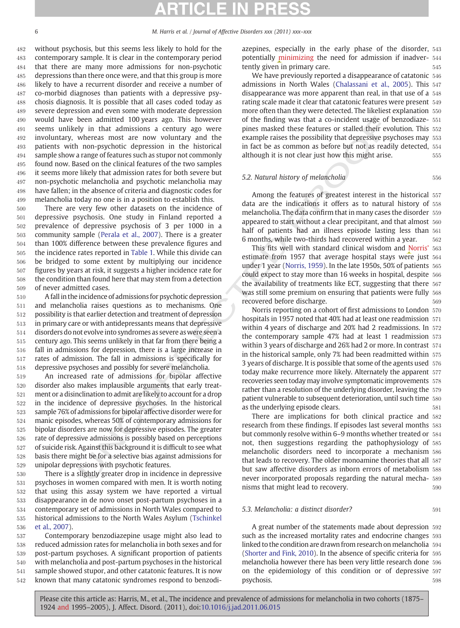without psychosis, but this seems less likely to hold for the contemporary sample. It is clear in the contemporary period that there are many more admissions for non-psychotic depressions than there once were, and that this group is more likely to have a recurrent disorder and receive a number of co-morbid diagnoses than patients with a depressive psy- chosis diagnosis. It is possible that all cases coded today as severe depression and even some with moderate depression would have been admitted 100 years ago. This however seems unlikely in that admissions a century ago were involuntary, whereas most are now voluntary and the patients with non-psychotic depression in the historical sample show a range of features such as stupor not commonly found now. Based on the clinical features of the two samples it seems more likely that admission rates for both severe but non-psychotic melancholia and psychotic melancholia may have fallen; in the absence of criteria and diagnostic codes for melancholia today no one is in a position to establish this.

 There are very few other datasets on the incidence of depressive psychosis. One study in Finland reported a prevalence of depressive psychosis of 3 per 1000 in a community sample (Perala et al., 2007). There is a greater than 100% difference between these prevalence figures and the incidence rates reported in Table 1. While this divide can be bridged to some extent by multiplying our incidence figures by years at risk, it suggests a higher incidence rate for the condition than found here that may stem from a detection of never admitted cases.

 A fall in the incidence of admissions for psychotic depression and melancholia raises questions as to mechanisms. One possibility is that earlier detection and treatment of depression in primary care or with antidepressants means that depressive disorders do not evolve into syndromes as severe as were seen a century ago. This seems unlikely in that far from there being a fall in admissions for depression, there is a large increase in rates of admission. The fall in admissions is specifically for depressive psychoses and possibly for severe melancholia.

 An increased rate of admissions for bipolar affective disorder also makes implausible arguments that early treat- ment or a disinclination to admit are likely to account for a drop in the incidence of depressive psychoses. In the historical sample 76% of admissions for bipolar affective disorder were for manic episodes, whereas 50% of contemporary admissions for bipolar disorders are now for depressive episodes. The greater rate of depressive admissions is possibly based on perceptions of suicide risk. Against this background it is difficult to see what basis there might be for a selective bias against admissions for unipolar depressions with psychotic features.

 There is a slightly greater drop in incidence in depressive psychoses in women compared with men. It is worth noting that using this assay system we have reported a virtual disappearance in de novo onset post-partum psychoses in a contemporary set of admissions in North Wales compared to historical admissions to the North Wales Asylum [\(Tschinkel](#page-7-0) [et al., 2007](#page-7-0)).

 Contemporary benzodiazepine usage might also lead to reduced admission rates for melancholia in both sexes and for post-partum psychoses. A significant proportion of patients with melancholia and post-partum psychoses in the historical sample showed stupor, and other catatonic features. It is now known that many catatonic syndromes respond to benzodiazepines, especially in the early phase of the disorder, 543 potentially minimizing the need for admission if inadver- 544 tently given in primary care.

We have previously reported a disappearance of catatonic 546 admissions in North Wales [\(Chalassani et al., 2005](#page-7-0)). This 547 disappearance was more apparent than real, in that use of a 548 rating scale made it clear that catatonic features were present 549 more often than they were detected. The likeliest explanation 550 of the finding was that a co-incident usage of benzodiaze- 551 pines masked these features or stalled their evolution. This 552 example raises the possibility that depressive psychoses may 553 in fact be as common as before but not as readily detected, 554 although it is not clear just how this might arise.  $555$ 

## 5.2. Natural history of melancholia 556

Among the features of greatest interest in the historical 557 data are the indications it offers as to natural history of 558 melancholia. The data confirm that in many cases the disorder 559 appeared to start without a clear precipitant, and that almost 560 half of patients had an illness episode lasting less than 561 6 months, while two-thirds had recovered within a year. 562

This fits well with standard clinical wisdom and Norris' 563 estimate from 1957 that average hospital stays were just 564 under 1 year (Norris, 1959). In the late 1950s, 50% of patients 565 could expect to stay more than 16 weeks in hospital, despite 566 the availability of treatments like ECT, suggesting that there 567 was still some premium on ensuring that patients were fully 568 recovered before discharge. The same state of  $569$ 

been admitted 100 years ago. This however<br>of the finding was that a co-inicident usage of the proposition of the complex rate and the complex and the complex and the complex and the complex and the complex and the complex Norris reporting on a cohort of first admissions to London 570 hospitals in 1957 noted that 40% had at least one readmission 571 within 4 years of discharge and 20% had 2 readmissions. In 572 the contemporary sample 47% had at least 1 readmission 573 within 3 years of discharge and 26% had 2 or more. In contrast 574 in the historical sample, only 7% had been readmitted within 575 3 years of discharge. It is possible that some of the agents used 576 today make recurrence more likely. Alternately the apparent 577 recoveries seen today may involve symptomatic improvements 578 rather than a resolution of the underlying disorder, leaving the 579 patient vulnerable to subsequent deterioration, until such time 580 as the underlying episode clears.  $581$ 

There are implications for both clinical practice and 582 research from these findings. If episodes last several months 583 but commonly resolve within 6–9 months whether treated or 584 not, then suggestions regarding the pathophysiology of 585 melancholic disorders need to incorporate a mechanism 586 that leads to recovery. The older monoamine theories that all 587 but saw affective disorders as inborn errors of metabolism 588 never incorporated proposals regarding the natural mecha- 589 nisms that might lead to recovery.  $590$ 

# 5.3. Melancholia: a distinct disorder?  $591$

A great number of the statements made about depression 592 such as the increased mortality rates and endocrine changes 593 linked to the condition are drawn from research on melancholia 594 ([Shorter and Fink, 2010\)](#page-7-0). In the absence of specific criteria for 595 melancholia however there has been very little research done 596 on the epidemiology of this condition or of depressive 597 psychosis. 598